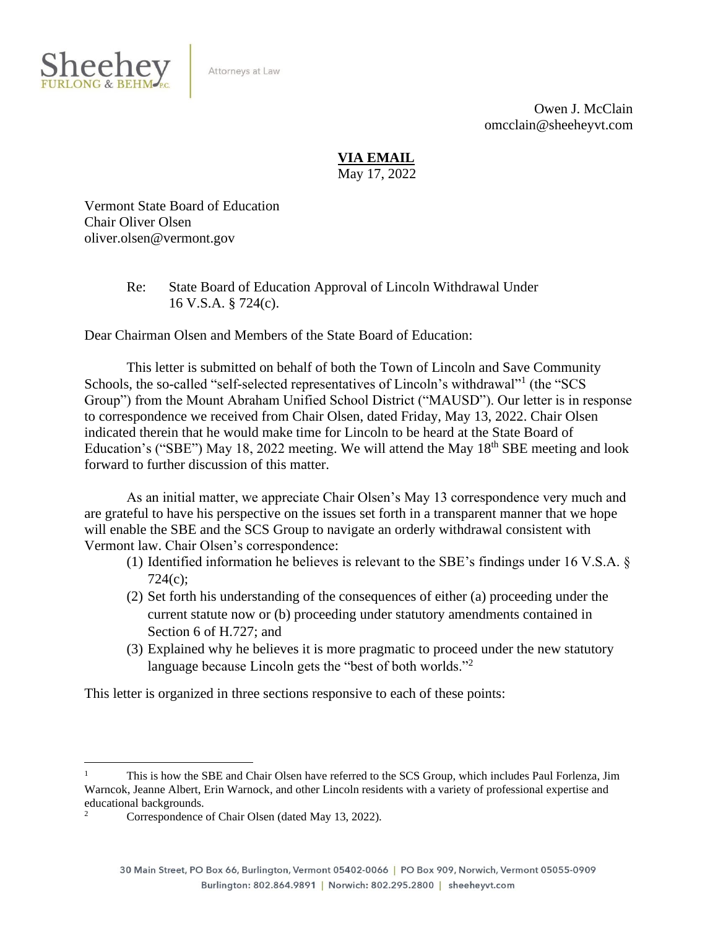

Attorneys at Law

Owen J. McClain omcclain@sheeheyvt.com

# **VIA EMAIL**

May 17, 2022

Vermont State Board of Education Chair Oliver Olsen oliver.olsen@vermont.gov

> Re: State Board of Education Approval of Lincoln Withdrawal Under 16 V.S.A. § 724(c).

Dear Chairman Olsen and Members of the State Board of Education:

This letter is submitted on behalf of both the Town of Lincoln and Save Community Schools, the so-called "self-selected representatives of Lincoln's withdrawal"<sup>1</sup> (the "SCS Group") from the Mount Abraham Unified School District ("MAUSD"). Our letter is in response to correspondence we received from Chair Olsen, dated Friday, May 13, 2022. Chair Olsen indicated therein that he would make time for Lincoln to be heard at the State Board of Education's ("SBE") May 18, 2022 meeting. We will attend the May  $18<sup>th</sup>$  SBE meeting and look forward to further discussion of this matter.

As an initial matter, we appreciate Chair Olsen's May 13 correspondence very much and are grateful to have his perspective on the issues set forth in a transparent manner that we hope will enable the SBE and the SCS Group to navigate an orderly withdrawal consistent with Vermont law. Chair Olsen's correspondence:

- (1) Identified information he believes is relevant to the SBE's findings under 16 V.S.A. § 724(c);
- (2) Set forth his understanding of the consequences of either (a) proceeding under the current statute now or (b) proceeding under statutory amendments contained in Section 6 of H.727; and
- (3) Explained why he believes it is more pragmatic to proceed under the new statutory language because Lincoln gets the "best of both worlds."<sup>2</sup>

This letter is organized in three sections responsive to each of these points:

<sup>1</sup> This is how the SBE and Chair Olsen have referred to the SCS Group, which includes Paul Forlenza, Jim Warncok, Jeanne Albert, Erin Warnock, and other Lincoln residents with a variety of professional expertise and educational backgrounds.

Correspondence of Chair Olsen (dated May 13, 2022).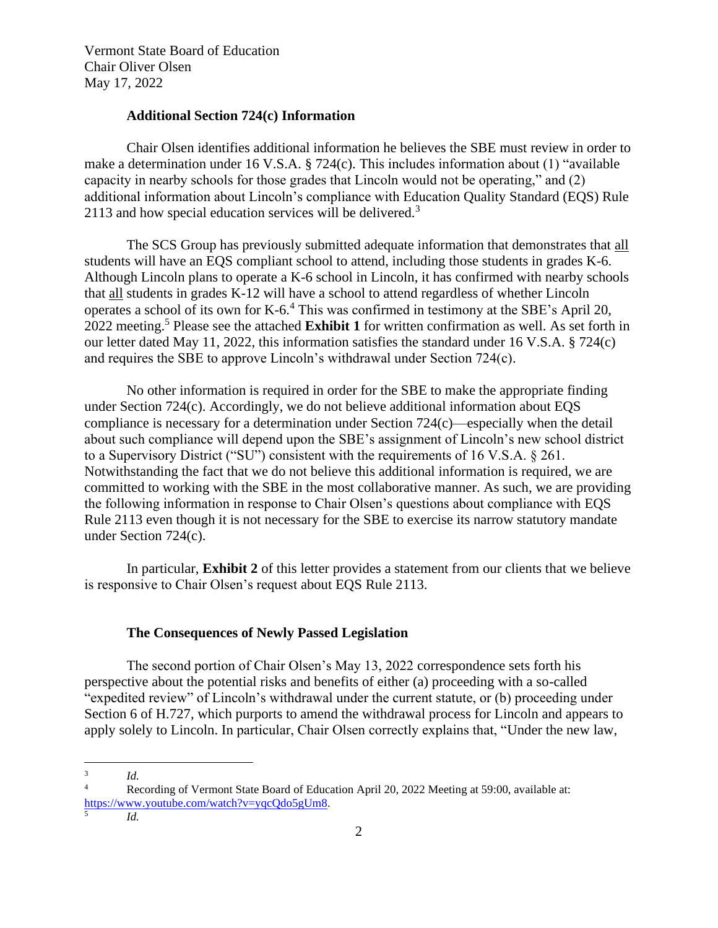## **Additional Section 724(c) Information**

Chair Olsen identifies additional information he believes the SBE must review in order to make a determination under 16 V.S.A. § 724(c). This includes information about (1) "available capacity in nearby schools for those grades that Lincoln would not be operating," and (2) additional information about Lincoln's compliance with Education Quality Standard (EQS) Rule 2113 and how special education services will be delivered.<sup>3</sup>

The SCS Group has previously submitted adequate information that demonstrates that all students will have an EQS compliant school to attend, including those students in grades K-6. Although Lincoln plans to operate a K-6 school in Lincoln, it has confirmed with nearby schools that all students in grades K-12 will have a school to attend regardless of whether Lincoln operates a school of its own for K-6. <sup>4</sup> This was confirmed in testimony at the SBE's April 20, 2022 meeting.<sup>5</sup> Please see the attached **Exhibit 1** for written confirmation as well. As set forth in our letter dated May 11, 2022, this information satisfies the standard under 16 V.S.A. § 724(c) and requires the SBE to approve Lincoln's withdrawal under Section 724(c).

No other information is required in order for the SBE to make the appropriate finding under Section 724(c). Accordingly, we do not believe additional information about EQS compliance is necessary for a determination under Section 724(c)—especially when the detail about such compliance will depend upon the SBE's assignment of Lincoln's new school district to a Supervisory District ("SU") consistent with the requirements of 16 V.S.A. § 261. Notwithstanding the fact that we do not believe this additional information is required, we are committed to working with the SBE in the most collaborative manner. As such, we are providing the following information in response to Chair Olsen's questions about compliance with EQS Rule 2113 even though it is not necessary for the SBE to exercise its narrow statutory mandate under Section 724(c).

In particular, **Exhibit 2** of this letter provides a statement from our clients that we believe is responsive to Chair Olsen's request about EQS Rule 2113.

### **The Consequences of Newly Passed Legislation**

The second portion of Chair Olsen's May 13, 2022 correspondence sets forth his perspective about the potential risks and benefits of either (a) proceeding with a so-called "expedited review" of Lincoln's withdrawal under the current statute, or (b) proceeding under Section 6 of H.727, which purports to amend the withdrawal process for Lincoln and appears to apply solely to Lincoln. In particular, Chair Olsen correctly explains that, "Under the new law,

5

<sup>3</sup> *Id.*

Recording of Vermont State Board of Education April 20, 2022 Meeting at 59:00, available at: [https://www.youtube.com/watch?v=yqcQdo5gUm8.](https://www.youtube.com/watch?v=yqcQdo5gUm8)

*Id.*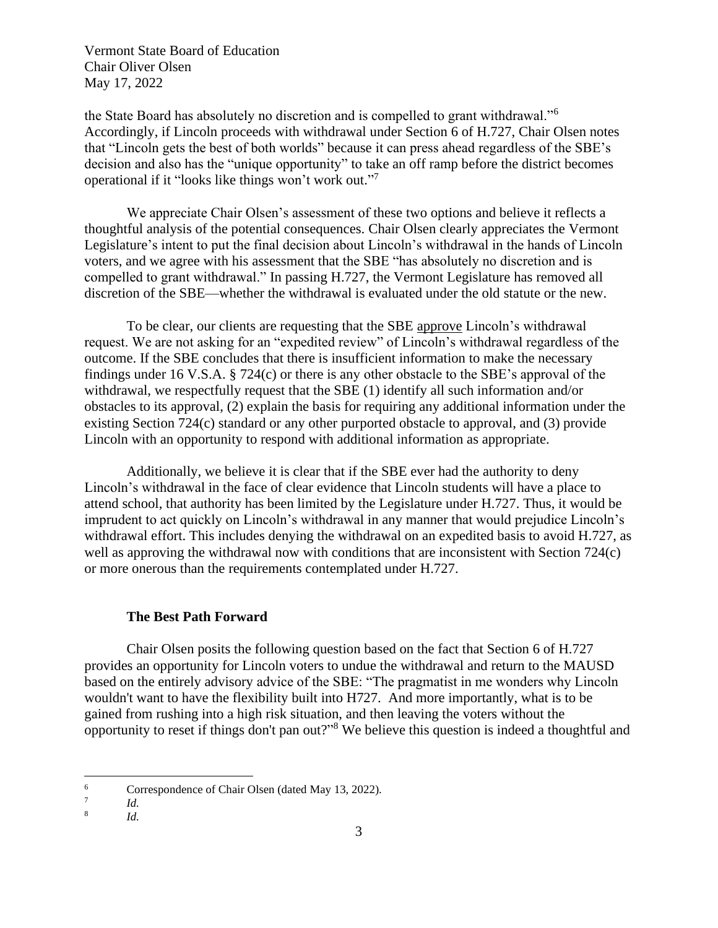the State Board has absolutely no discretion and is compelled to grant withdrawal."<sup>6</sup> Accordingly, if Lincoln proceeds with withdrawal under Section 6 of H.727, Chair Olsen notes that "Lincoln gets the best of both worlds" because it can press ahead regardless of the SBE's decision and also has the "unique opportunity" to take an off ramp before the district becomes operational if it "looks like things won't work out."<sup>7</sup>

We appreciate Chair Olsen's assessment of these two options and believe it reflects a thoughtful analysis of the potential consequences. Chair Olsen clearly appreciates the Vermont Legislature's intent to put the final decision about Lincoln's withdrawal in the hands of Lincoln voters, and we agree with his assessment that the SBE "has absolutely no discretion and is compelled to grant withdrawal." In passing H.727, the Vermont Legislature has removed all discretion of the SBE—whether the withdrawal is evaluated under the old statute or the new.

To be clear, our clients are requesting that the SBE approve Lincoln's withdrawal request. We are not asking for an "expedited review" of Lincoln's withdrawal regardless of the outcome. If the SBE concludes that there is insufficient information to make the necessary findings under 16 V.S.A. § 724(c) or there is any other obstacle to the SBE's approval of the withdrawal, we respectfully request that the SBE (1) identify all such information and/or obstacles to its approval, (2) explain the basis for requiring any additional information under the existing Section 724(c) standard or any other purported obstacle to approval, and (3) provide Lincoln with an opportunity to respond with additional information as appropriate.

Additionally, we believe it is clear that if the SBE ever had the authority to deny Lincoln's withdrawal in the face of clear evidence that Lincoln students will have a place to attend school, that authority has been limited by the Legislature under H.727. Thus, it would be imprudent to act quickly on Lincoln's withdrawal in any manner that would prejudice Lincoln's withdrawal effort. This includes denying the withdrawal on an expedited basis to avoid H.727, as well as approving the withdrawal now with conditions that are inconsistent with Section 724(c) or more onerous than the requirements contemplated under H.727.

#### **The Best Path Forward**

Chair Olsen posits the following question based on the fact that Section 6 of H.727 provides an opportunity for Lincoln voters to undue the withdrawal and return to the MAUSD based on the entirely advisory advice of the SBE: "The pragmatist in me wonders why Lincoln wouldn't want to have the flexibility built into H727. And more importantly, what is to be gained from rushing into a high risk situation, and then leaving the voters without the opportunity to reset if things don't pan out?" <sup>8</sup> We believe this question is indeed a thoughtful and

<sup>6</sup> Correspondence of Chair Olsen (dated May 13, 2022).

<sup>7</sup> *Id.*

<sup>8</sup> *Id.*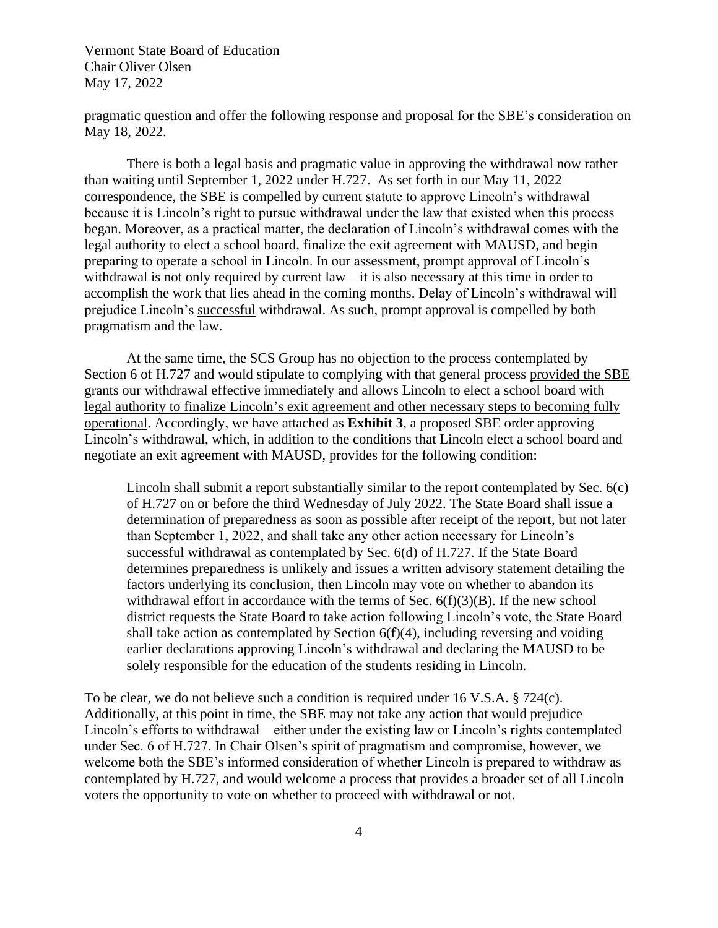pragmatic question and offer the following response and proposal for the SBE's consideration on May 18, 2022.

There is both a legal basis and pragmatic value in approving the withdrawal now rather than waiting until September 1, 2022 under H.727. As set forth in our May 11, 2022 correspondence, the SBE is compelled by current statute to approve Lincoln's withdrawal because it is Lincoln's right to pursue withdrawal under the law that existed when this process began. Moreover, as a practical matter, the declaration of Lincoln's withdrawal comes with the legal authority to elect a school board, finalize the exit agreement with MAUSD, and begin preparing to operate a school in Lincoln. In our assessment, prompt approval of Lincoln's withdrawal is not only required by current law—it is also necessary at this time in order to accomplish the work that lies ahead in the coming months. Delay of Lincoln's withdrawal will prejudice Lincoln's successful withdrawal. As such, prompt approval is compelled by both pragmatism and the law.

At the same time, the SCS Group has no objection to the process contemplated by Section 6 of H.727 and would stipulate to complying with that general process provided the SBE grants our withdrawal effective immediately and allows Lincoln to elect a school board with legal authority to finalize Lincoln's exit agreement and other necessary steps to becoming fully operational. Accordingly, we have attached as **Exhibit 3**, a proposed SBE order approving Lincoln's withdrawal, which, in addition to the conditions that Lincoln elect a school board and negotiate an exit agreement with MAUSD, provides for the following condition:

Lincoln shall submit a report substantially similar to the report contemplated by Sec. 6(c) of H.727 on or before the third Wednesday of July 2022. The State Board shall issue a determination of preparedness as soon as possible after receipt of the report, but not later than September 1, 2022, and shall take any other action necessary for Lincoln's successful withdrawal as contemplated by Sec. 6(d) of H.727. If the State Board determines preparedness is unlikely and issues a written advisory statement detailing the factors underlying its conclusion, then Lincoln may vote on whether to abandon its withdrawal effort in accordance with the terms of Sec.  $6(f)(3)(B)$ . If the new school district requests the State Board to take action following Lincoln's vote, the State Board shall take action as contemplated by Section  $6(f)(4)$ , including reversing and voiding earlier declarations approving Lincoln's withdrawal and declaring the MAUSD to be solely responsible for the education of the students residing in Lincoln.

To be clear, we do not believe such a condition is required under 16 V.S.A. § 724(c). Additionally, at this point in time, the SBE may not take any action that would prejudice Lincoln's efforts to withdrawal—either under the existing law or Lincoln's rights contemplated under Sec. 6 of H.727. In Chair Olsen's spirit of pragmatism and compromise, however, we welcome both the SBE's informed consideration of whether Lincoln is prepared to withdraw as contemplated by H.727, and would welcome a process that provides a broader set of all Lincoln voters the opportunity to vote on whether to proceed with withdrawal or not.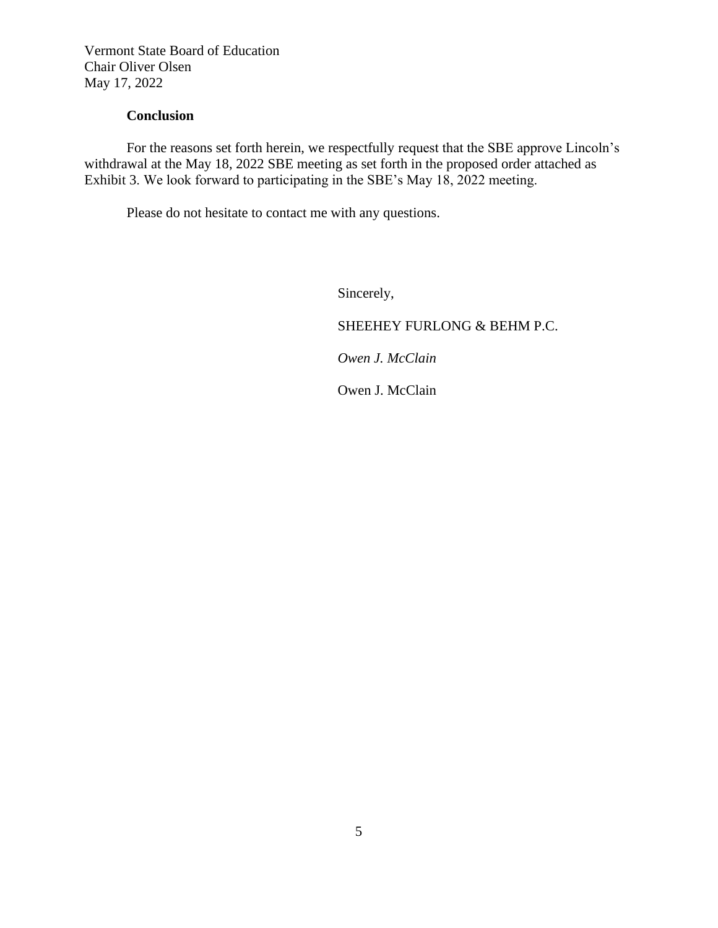### **Conclusion**

For the reasons set forth herein, we respectfully request that the SBE approve Lincoln's withdrawal at the May 18, 2022 SBE meeting as set forth in the proposed order attached as Exhibit 3. We look forward to participating in the SBE's May 18, 2022 meeting.

Please do not hesitate to contact me with any questions.

Sincerely,

SHEEHEY FURLONG & BEHM P.C.

*Owen J. McClain* 

Owen J. McClain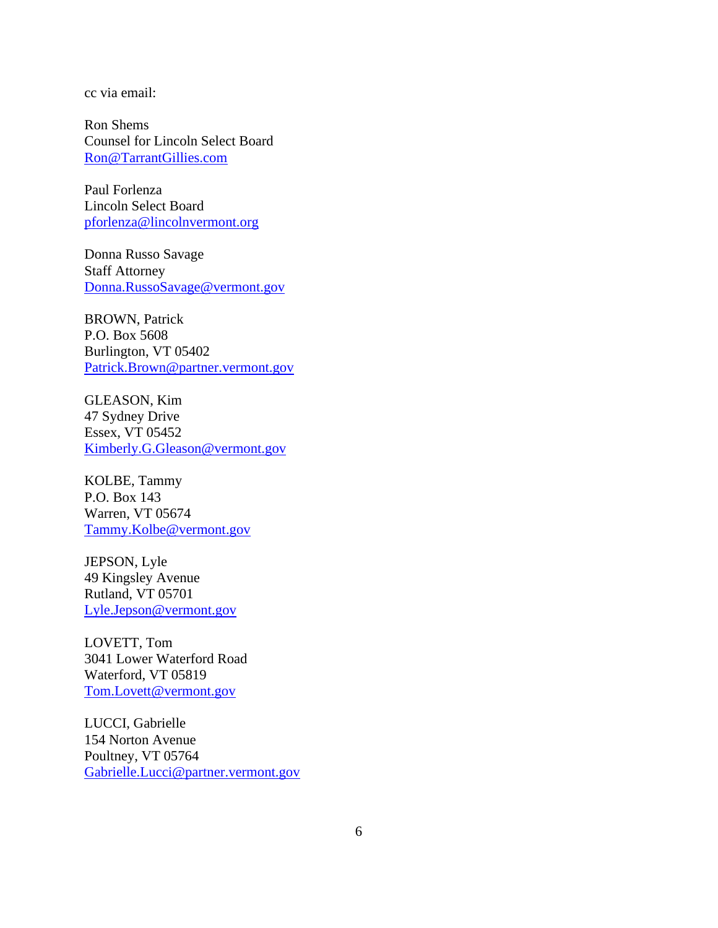cc via email:

Ron Shems Counsel for Lincoln Select Board [Ron@TarrantGillies.com](mailto:Ron@TarrantGillies.com)

Paul Forlenza Lincoln Select Board [pforlenza@lincolnvermont.org](mailto:pforlenza@lincolnvermont.org)

Donna Russo Savage Staff Attorney [Donna.RussoSavage@vermont.gov](mailto:Donna.RussoSavage@vermont.gov)

BROWN, Patrick P.O. Box 5608 Burlington, VT 05402 [Patrick.Brown@partner.vermont.gov](mailto:Patrick.Brown@partner.vermont.gov)

GLEASON, Kim 47 Sydney Drive Essex, VT 05452 [Kimberly.G.Gleason@vermont.gov](mailto:Kimberly.G.Gleason@vermont.gov)

KOLBE, Tammy P.O. Box 143 Warren, VT 05674 [Tammy.Kolbe@vermont.gov](mailto:Tammy.Kolbe@vermont.gov)

JEPSON, Lyle 49 Kingsley Avenue Rutland, VT 05701 [Lyle.Jepson@vermont.gov](mailto:Lyle.Jepson@vermont.gov)

LOVETT, Tom 3041 Lower Waterford Road Waterford, VT 05819 [Tom.Lovett@vermont.gov](mailto:Tom.Lovett@vermont.gov)

LUCCI, Gabrielle 154 Norton Avenue Poultney, VT 05764 [Gabrielle.Lucci@partner.vermont.gov](mailto:Gabrielle.Lucci@partner.vermont.gov)